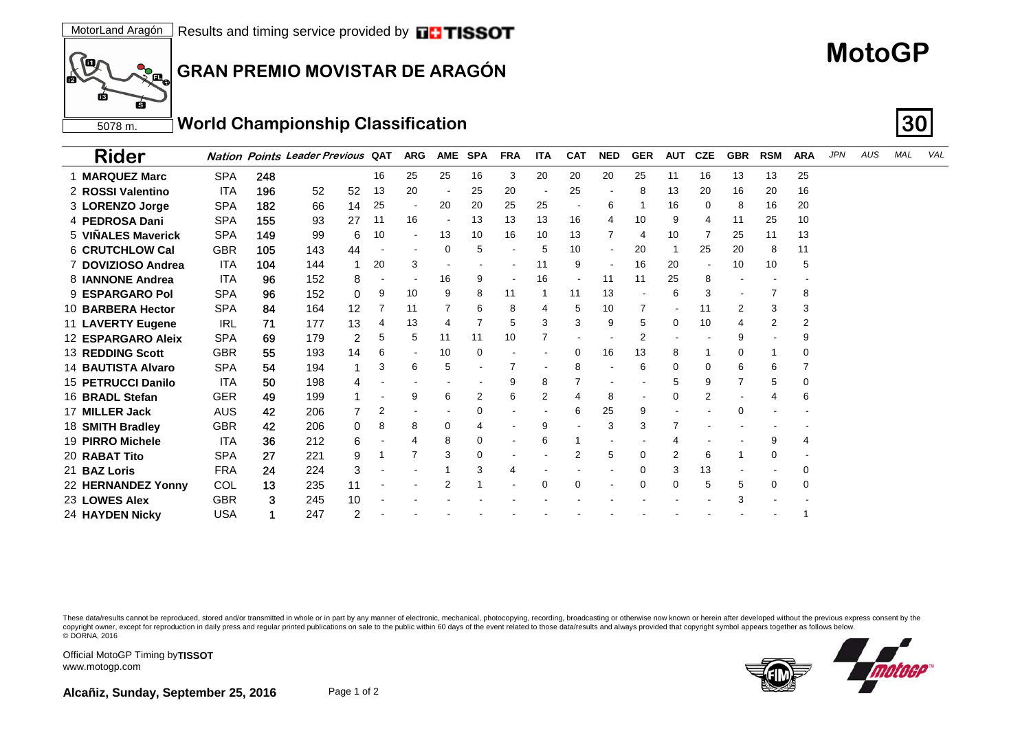# **MotoGP**

**GRAN PREMIO MOVISTAR DE ARAGÓN**

5078 m. **World Championship Classification 30**

| <b>Rider</b>              |            |     | <b>Nation Points Leader Previous QAT</b> |     | <b>ARG</b> | <b>AME</b> | <b>SPA</b> | <b>FRA</b> | <b>ITA</b> | <b>CAT</b>     | <b>NED</b>               | <b>GER</b>     | <b>AUT</b> | <b>CZE</b> | <b>GBR</b> | <b>RSM</b> | <b>ARA</b> | <b>JPN</b> | AUS | <b>MAL</b> | VAL |
|---------------------------|------------|-----|------------------------------------------|-----|------------|------------|------------|------------|------------|----------------|--------------------------|----------------|------------|------------|------------|------------|------------|------------|-----|------------|-----|
| <b>MARQUEZ Marc</b>       | <b>SPA</b> | 248 |                                          | 16  | 25         | 25         | 16         | 3          | 20         | 20             | 20                       | 25             | 11         | 16         | 13         | 13         | 25         |            |     |            |     |
| 2 ROSSI Valentino         | <b>ITA</b> | 196 | 52<br>52                                 | 13  | 20         |            | 25         | 20         |            | 25             | $\overline{\phantom{a}}$ | 8              | 13         | 20         | 16         | 20         | 16         |            |     |            |     |
| 3 LORENZO Jorge           | <b>SPA</b> | 182 | 66<br>14                                 | 25  |            | 20         | 20         | 25         | 25         |                | 6                        | -1             | 16         | $\Omega$   | 8          | 16         | 20         |            |     |            |     |
| 4 PEDROSA Dani            | <b>SPA</b> | 155 | 27<br>93                                 | -11 | 16         |            | 13         | 13         | 13         | 16             | 4                        | 10             | 9          | 4          | 11         | 25         | 10         |            |     |            |     |
| 5 VIÑALES Maverick        | <b>SPA</b> | 149 | 99<br>6                                  | 10  |            | 13         | 10         | 16         | 10         | 13             |                          | 4              | 10         |            | 25         | 11         | 13         |            |     |            |     |
| 6 CRUTCHLOW Cal           | <b>GBR</b> | 105 | 44<br>143                                |     |            | 0          | 5          |            |            | 10             | $\blacksquare$           | 20             |            | 25         | 20         | 8          | 11         |            |     |            |     |
| 7 DOVIZIOSO Andrea        | <b>ITA</b> | 104 | 144                                      | 20  | 3          |            |            |            | 11         | 9              | $\blacksquare$           | 16             | 20         |            | 10         | 10         | 5          |            |     |            |     |
| 8 IANNONE Andrea          | <b>ITA</b> | 96  | 152<br>8                                 |     |            | 16         | 9          |            | 16         |                | 11                       | 11             | 25         | 8          |            |            |            |            |     |            |     |
| 9 ESPARGARO Pol           | <b>SPA</b> | 96  | 0<br>152                                 | 9   | 10         | 9          | 8          | 11         |            | 11             | 13                       |                | 6          | 3          |            |            | 8          |            |     |            |     |
| 10 BARBERA Hector         | <b>SPA</b> | 84  | $12 \overline{ }$<br>164                 |     | 11         |            | 6          | 8          |            | 5              | 10                       | 7              |            | 11         | 2          | 3          | 3          |            |     |            |     |
| 11 LAVERTY Eugene         | <b>IRL</b> | 71  | 13<br>177                                | 4   | 13         | 4          | 7          | 5          | 3          | 3              | 9                        | 5              | 0          | 10         | 4          | 2          | 2          |            |     |            |     |
| 12 ESPARGARO Aleix        | <b>SPA</b> | 69  | 2<br>179                                 | 5   | 5          | 11         | 11         | 10         |            |                |                          | $\overline{2}$ |            |            | 9          |            | 9          |            |     |            |     |
| <b>13 REDDING Scott</b>   | <b>GBR</b> | 55  | 14<br>193                                | 6   |            | 10         | 0          |            |            | $\Omega$       | 16                       | 13             | 8          |            | 0          |            | 0          |            |     |            |     |
| <b>14 BAUTISTA Alvaro</b> | <b>SPA</b> | 54  | 194                                      | 3   | 6          | 5          |            |            |            | 8              |                          | 6              | 0          | 0          | 6          | 6          |            |            |     |            |     |
| 15 PETRUCCI Danilo        | <b>ITA</b> | 50  | 198<br>4                                 |     |            |            |            | 9          | 8          | 7              |                          |                | 5          | 9          | 7          | 5          | 0          |            |     |            |     |
| 16 BRADL Stefan           | <b>GER</b> | 49  | 199                                      |     | 9          | 6          | 2          | 6          | 2          |                | 8                        |                | 0          | 2          |            |            | 6          |            |     |            |     |
| 17 MILLER Jack            | <b>AUS</b> | 42  | 206                                      | 2   |            |            | 0          |            |            | 6              | 25                       | 9              |            |            | 0          |            |            |            |     |            |     |
| 18 SMITH Bradley          | GBR        | 42  | 206<br>0                                 | 8   | 8          | 0          | 4          |            | g          |                | 3                        | 3              |            |            |            |            |            |            |     |            |     |
| 19 PIRRO Michele          | <b>ITA</b> | 36  | 212<br>6                                 |     | 4          | 8          | 0          |            | 6          |                |                          |                |            |            |            | 9          | 4          |            |     |            |     |
| 20 RABAT Tito             | <b>SPA</b> | 27  | 9<br>221                                 |     |            | 3          | 0          |            |            | $\overline{2}$ | 5                        | 0              | 2          | 6          |            | 0          |            |            |     |            |     |
| 21 BAZ Loris              | <b>FRA</b> | 24  | 224<br>3                                 |     |            |            |            | 4          |            |                |                          | $\Omega$       | 3          | 13         |            |            | 0          |            |     |            |     |
| 22 HERNANDEZ Yonny        | COL        | 13  | 235<br>11                                |     |            |            |            |            |            | $\Omega$       |                          | $\Omega$       | 0          | 5          | 5          | 0          | 0          |            |     |            |     |
| 23 LOWES Alex             | <b>GBR</b> | 3   | 10<br>245                                |     |            |            |            |            |            |                |                          |                |            |            | 3          |            |            |            |     |            |     |
| 24 HAYDEN Nicky           | <b>USA</b> |     | 247<br>2                                 |     |            |            |            |            |            |                |                          |                |            |            |            |            |            |            |     |            |     |

These data/results cannot be reproduced, stored and/or transmitted in whole or in part by any manner of electronic, mechanical, photocopying, recording, broadcasting or otherwise now known or herein after developed without copyright owner, except for reproduction in daily press and regular printed publications on sale to the public within 60 days of the event related to those data/results and always provided that copyright symbol appears tog © DORNA, 2016



Official MotoGP Timing by **TISSOT**www.motogp.com

ſш

ГŔ

ſþ

**PO HILE** 

6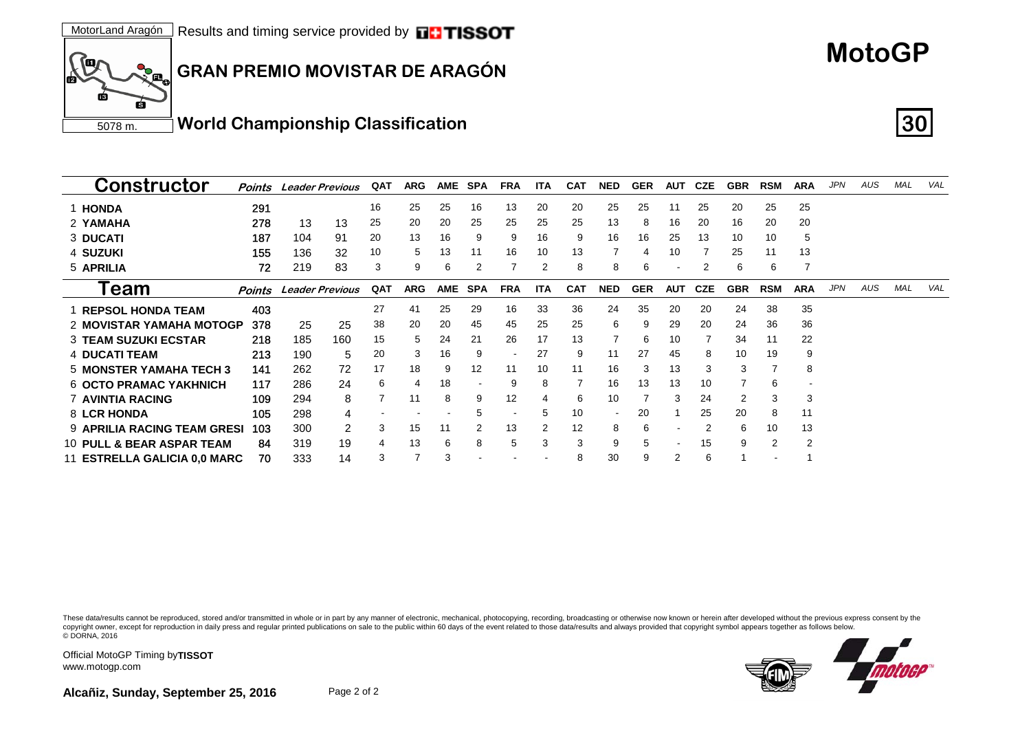

| <b>Constructor</b>                 | Points | <b>Leader Previous</b> |                | QAT | <b>ARG</b> | <b>AME</b> | SPA            | <b>FRA</b> | <b>ITA</b> | <b>CAT</b> | <b>NED</b> | <b>GER</b> | AUT        | CZE        | <b>GBR</b> | <b>RSM</b>               | <b>ARA</b> | <b>JPN</b> | AUS | <b>MAL</b> | VAL |
|------------------------------------|--------|------------------------|----------------|-----|------------|------------|----------------|------------|------------|------------|------------|------------|------------|------------|------------|--------------------------|------------|------------|-----|------------|-----|
| 1 HONDA                            | 291    |                        |                | 16  | 25         | 25         | 16             | 13         | 20         | 20         | 25         | 25         | 11         | 25         | 20         | 25                       | 25         |            |     |            |     |
| 2 YAMAHA                           | 278    | 13                     | 13             | 25  | 20         | 20         | 25             | 25         | 25         | 25         | 13         | 8          | 16         | 20         | 16         | 20                       | 20         |            |     |            |     |
| 3 DUCATI                           | 187    | 104                    | 91             | 20  | 13         | 16         | 9              | 9          | 16         | 9          | 16         | 16         | 25         | 13         | 10         | 10                       | 5          |            |     |            |     |
| 4 SUZUKI                           | 155    | 136                    | 32             | 10  | 5          | 13         | 11             | 16         | 10         | 13         |            | 4          | 10         |            | 25         | 11                       | 13         |            |     |            |     |
| 5 APRILIA                          | 72     | 219                    | 83             | 3   | 9          | 6          | $\overline{2}$ |            |            | 8          | 8          | 6          |            | 2          | 6          | 6                        |            |            |     |            |     |
| eam                                | Points | <b>Leader Previous</b> |                | QAT | <b>ARG</b> | <b>AME</b> | <b>SPA</b>     | <b>FRA</b> | <b>ITA</b> | <b>CAT</b> | <b>NED</b> | <b>GER</b> | <b>AUT</b> | <b>CZE</b> | <b>GBR</b> | <b>RSM</b>               | <b>ARA</b> | <b>JPN</b> | AUS | <b>MAL</b> | VAL |
| <b>REPSOL HONDA TEAM</b>           | 403    |                        |                | 27  | 41         | 25         | 29             | 16         | 33         | 36         | 24         | 35         | 20         | 20         | 24         | 38                       | 35         |            |     |            |     |
| 2 MOVISTAR YAMAHA MOTOGP           | 378    | 25                     | 25             | 38  | 20         | 20         | 45             | 45         | 25         | 25         | 6          | 9          | 29         | 20         | 24         | 36                       | 36         |            |     |            |     |
| <b>3 TEAM SUZUKI ECSTAR</b>        | 218    | 185                    | 160            | 15  | 5          | 24         | 21             | 26         | 17         | 13         |            | 6          | 10         |            | 34         | 11                       | 22         |            |     |            |     |
| 4 DUCATI TEAM                      | 213    | 190                    | 5              | 20  | 3          | 16         | 9              |            | 27         | 9          | 11         | 27         | 45         | 8          | 10         | 19                       | 9          |            |     |            |     |
| <b>5 MONSTER YAMAHA TECH 3</b>     | 141    | 262                    | 72             | 17  | 18         | 9          | 12             | 11         | 10         | 11         | 16         | 3          | 13         | 3          | 3          |                          | 8          |            |     |            |     |
| <b>6 OCTO PRAMAC YAKHNICH</b>      | 117    | 286                    | 24             | 6   | 4          | 18         |                | 9          | 8          |            | 16         | 13         | 13         | 10         |            | 6                        |            |            |     |            |     |
| <b>7 AVINTIA RACING</b>            | 109    | 294                    | 8              |     | 11         | 8          | 9              | 12         |            | 6          | 10         |            | 3          | 24         | 2          | 3                        | 3          |            |     |            |     |
| 8 LCR HONDA                        | 105    | 298                    | 4              |     |            |            | 5              |            | 5          | 10         |            | 20         |            | 25         | 20         | 8                        | 11         |            |     |            |     |
| <b>9 APRILIA RACING TEAM GRESI</b> | 103    | 300                    | $\overline{2}$ | 3   | 15         | 11         |                | 13         |            | 12         | 8          | 6          |            |            | 6          | 10                       | 13         |            |     |            |     |
| 10 PULL & BEAR ASPAR TEAM          | 84     | 319                    | 19             |     | 13         | 6          | 8              | 5          | 3          | 3          | 9          | 5          | ۰          | 15         | 9          | $\overline{2}$           | 2          |            |     |            |     |
| 11 ESTRELLA GALICIA 0,0 MARC       | 70     | 333                    | 14             | 3   | 7          | 3          |                |            |            | 8          | 30         | 9          | 2          | 6          |            | $\overline{\phantom{a}}$ |            |            |     |            |     |

These data/results cannot be reproduced, stored and/or transmitted in whole or in part by any manner of electronic, mechanical, photocopying, recording, broadcasting or otherwise now known or herein after developed without copyright owner, except for reproduction in daily press and regular printed publications on sale to the public within 60 days of the event related to those data/results and always provided that copyright symbol appears tog © DORNA, 2016



**MotoGP**

Official MotoGP Timing by **TISSOT**www.motogp.com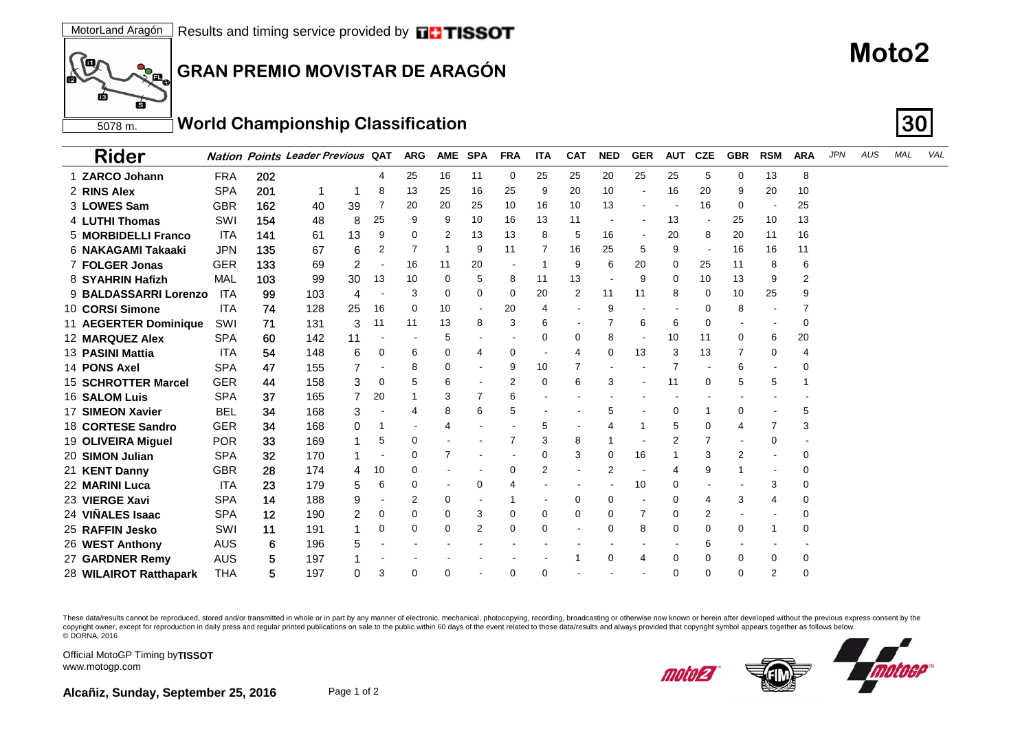

#### 5078 m. **World Championship Classification 30**

| <b>Rider</b>               |            |     | <b>Nation Points Leader Previous QAT</b> |         | <b>ARG</b> | <b>AME</b> | <b>SPA</b>     | <b>FRA</b> | <b>ITA</b> | <b>CAT</b> | <b>NED</b>               | <b>GER</b>               | <b>AUT</b> | <b>CZE</b> | <b>GBR</b> | <b>RSM</b>               | <b>ARA</b> | <b>JPN</b> | AUS | MAL | VAL |
|----------------------------|------------|-----|------------------------------------------|---------|------------|------------|----------------|------------|------------|------------|--------------------------|--------------------------|------------|------------|------------|--------------------------|------------|------------|-----|-----|-----|
| 1 ZARCO Johann             | <b>FRA</b> | 202 |                                          | 4       | 25         | 16         | 11             | 0          | 25         | 25         | 20                       | 25                       | 25         | 5          | 0          | 13                       | 8          |            |     |     |     |
| 2 RINS Alex                | <b>SPA</b> | 201 |                                          | 8       | 13         | 25         | 16             | 25         | 9          | 20         | 10                       |                          | 16         | 20         | 9          | 20                       | 10         |            |     |     |     |
| 3 LOWES Sam                | <b>GBR</b> | 162 | 39<br>40                                 |         | 20         | 20         | 25             | 10         | 16         | 10         | 13                       |                          |            | 16         | 0          | $\overline{\phantom{a}}$ | 25         |            |     |     |     |
| <b>4 LUTHI Thomas</b>      | SWI        | 154 | 48                                       | 25<br>8 | 9          | 9          | 10             | 16         | 13         | 11         |                          |                          | 13         |            | 25         | 10                       | 13         |            |     |     |     |
| 5 MORBIDELLI Franco        | ITA        | 141 | 13<br>-61                                | 9       | 0          | 2          | 13             | 13         | 8          | 5          | 16                       |                          | 20         | 8          | 20         | 11                       | 16         |            |     |     |     |
| 6 NAKAGAMI Takaaki         | <b>JPN</b> | 135 | 67                                       | 6<br>2  | 7          | -1         | 9              | 11         |            | 16         | 25                       | 5                        | 9          |            | 16         | 16                       | 11         |            |     |     |     |
| 7 FOLGER Jonas             | <b>GER</b> | 133 | 69                                       | 2       | 16         | 11         | 20             |            | -1         | 9          | 6                        | 20                       | 0          | 25         | 11         | 8                        | 6          |            |     |     |     |
| 8 SYAHRIN Hafizh           | MAL        | 103 | 30<br>99                                 | 13      | 10         | 0          | 5              | 8          | 11         | 13         | $\overline{\phantom{a}}$ | 9                        | 0          | 10         | 13         | 9                        | 2          |            |     |     |     |
| 9 BALDASSARRI Lorenzo      | ITA        | 99  | 103                                      | 4       | 3          | 0          | 0              | 0          | 20         | 2          | 11                       | 11                       | 8          | 0          | 10         | 25                       | 9          |            |     |     |     |
| 10 CORSI Simone            | <b>ITA</b> | 74  | 128<br>25                                | 16      | 0          | 10         |                | 20         | 4          |            | 9                        |                          |            | 0          | 8          |                          | 7          |            |     |     |     |
| 11 AEGERTER Dominique      | SWI        | 71  | 131                                      | 3<br>11 | 11         | 13         | 8              | 3          | 6          |            |                          | 6                        | 6          | 0          |            | $\overline{\phantom{a}}$ | 0          |            |     |     |     |
| 12 MARQUEZ Alex            | <b>SPA</b> | 60  | 142<br>11                                |         |            | 5          |                |            | 0          | 0          | 8                        | $\overline{\phantom{a}}$ | 10         | 11         | 0          | 6                        | 20         |            |     |     |     |
| 13 PASINI Mattia           | ITA        | 54  | 148                                      | 6<br>0  | 6          | 0          | 4              | 0          |            | 4          | 0                        | 13                       | 3          | 13         |            | 0                        | 4          |            |     |     |     |
| 14 PONS Axel               | <b>SPA</b> | 47  | 155                                      |         | 8          | 0          |                | 9          | 10         |            |                          |                          |            |            | 6          |                          | 0          |            |     |     |     |
| <b>15 SCHROTTER Marcel</b> | <b>GER</b> | 44  | 158                                      | 3<br>0  | 5          | 6          |                | 2          | 0          | 6          | 3                        |                          | 11         | 0          | 5          | 5                        |            |            |     |     |     |
| <b>16 SALOM Luis</b>       | <b>SPA</b> | 37  | 165                                      | 20      |            | 3          |                | 6          |            |            |                          |                          |            |            |            |                          |            |            |     |     |     |
| 17 SIMEON Xavier           | <b>BEL</b> | 34  | 168                                      | 3       | 4          | 8          | 6              | 5          |            |            | 5                        |                          | 0          | -1         | 0          |                          | 5          |            |     |     |     |
| 18 CORTESE Sandro          | <b>GER</b> | 34  | 168                                      | 0       |            | 4          |                |            | 5          |            |                          | -1                       | 5          | 0          | 4          | 7                        | 3          |            |     |     |     |
| 19 OLIVEIRA Miguel         | <b>POR</b> | 33  | 169                                      | 5       | 0          |            |                | 7          | 3          | 8          |                          |                          | 2          | 7          |            | 0                        |            |            |     |     |     |
| 20 SIMON Julian            | <b>SPA</b> | 32  | 170                                      |         | $\Omega$   | 7          |                |            | $\Omega$   | 3          | $\Omega$                 | 16                       |            | 3          | 2          |                          | 0          |            |     |     |     |
| 21 KENT Danny              | <b>GBR</b> | 28  | 174                                      | 10<br>4 | $\Omega$   |            |                | 0          | 2          |            | $\overline{2}$           |                          | 4          | 9          |            |                          | 0          |            |     |     |     |
| 22  MARINI Luca            | <b>ITA</b> | 23  | 179                                      | 5<br>6  | 0          |            | 0              | 4          |            |            |                          | 10                       | 0          |            |            | 3                        | 0          |            |     |     |     |
| 23 VIERGE Xavi             | <b>SPA</b> | 14  | 188                                      | 9       | 2          | 0          |                |            |            | 0          | 0                        |                          | 0          | 4          | 3          | 4                        | 0          |            |     |     |     |
| 24  VIÑALES Isaac          | <b>SPA</b> | 12  | 190                                      | 2<br>0  | 0          | 0          | 3              | 0          | 0          | 0          | 0                        | 7                        | 0          | 2          |            |                          | 0          |            |     |     |     |
| 25 RAFFIN Jesko            | SWI        | 11  | 191                                      | 0       | 0          | 0          | $\overline{2}$ | 0          | 0          |            | 0                        | 8                        | 0          | $\Omega$   | 0          | 1                        | 0          |            |     |     |     |
| 26 WEST Anthony            | AUS        | 6   | 196                                      | 5       |            |            |                |            |            |            |                          |                          |            | 6          |            |                          |            |            |     |     |     |
| 27 GARDNER Remy            | AUS        | 5   | 197                                      |         |            |            |                |            |            |            | 0                        | $\overline{4}$           | 0          | $\Omega$   | 0          | 0                        | 0          |            |     |     |     |
| 28 WILAIROT Ratthapark     | <b>THA</b> | 5   | 197                                      | 3<br>0  | $\Omega$   | 0          |                | 0          | 0          |            |                          |                          | 0          | $\Omega$   | 0          | 2                        | 0          |            |     |     |     |

These data/results cannot be reproduced, stored and/or transmitted in whole or in part by any manner of electronic, mechanical, photocopying, recording, broadcasting or otherwise now known or herein after developed without copyright owner, except for reproduction in daily press and regular printed publications on sale to the public within 60 days of the event related to those data/results and always provided that copyright symbol appears tog © DORNA, 2016



Official MotoGP Timing by **TISSOT**www.motogp.com

**SO** 

ПŔ

6

гb

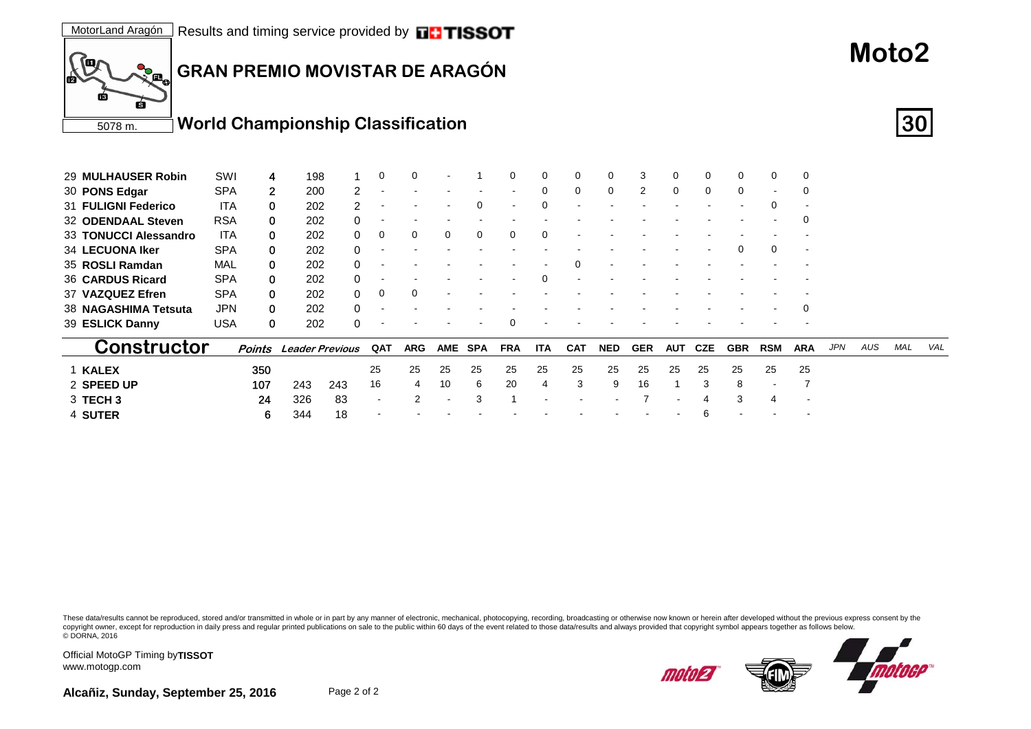

| 29 MULHAUSER Robin     | SWI        |              | 198                    |     | 0   | $\Omega$   |    |          | ∩          | $\Omega$   |            | 0          | 3          | 0   | $\Omega$     | 0          | 0                        |            |            |     |     |     |
|------------------------|------------|--------------|------------------------|-----|-----|------------|----|----------|------------|------------|------------|------------|------------|-----|--------------|------------|--------------------------|------------|------------|-----|-----|-----|
| 30 PONS Edgar          | <b>SPA</b> | $\mathbf{2}$ | 200                    |     |     |            |    |          |            | $\Omega$   | 0          | 0          | 2          | 0   | $\mathbf{0}$ | 0          | $\overline{\phantom{a}}$ | 0          |            |     |     |     |
| 31 FULIGNI Federico    | <b>ITA</b> | 0            | 202                    | 2   |     |            |    | 0        |            | $\Omega$   |            |            |            |     |              |            | $\Omega$                 |            |            |     |     |     |
| 32 ODENDAAL Steven     | <b>RSA</b> | 0            | 202                    |     |     |            |    |          |            |            |            |            |            |     |              |            |                          | 0          |            |     |     |     |
| 33 TONUCCI Alessandro  | <b>ITA</b> | 0            | 202                    |     | 0   | 0          | 0  | $\Omega$ | $\Omega$   | $\Omega$   |            |            |            |     |              |            |                          |            |            |     |     |     |
| <b>34 LECUONA Iker</b> | <b>SPA</b> | 0            | 202                    |     |     |            |    |          |            |            |            |            |            |     |              | $\Omega$   | $\Omega$                 |            |            |     |     |     |
| 35 ROSLI Ramdan        | MAL        | 0            | 202                    |     |     |            |    |          |            |            |            |            |            |     |              |            |                          |            |            |     |     |     |
| 36 CARDUS Ricard       | <b>SPA</b> | 0            | 202                    |     |     |            |    |          |            | $\Omega$   |            |            |            |     |              |            |                          |            |            |     |     |     |
| 37 VAZQUEZ Efren       | <b>SPA</b> | 0            | 202                    |     | 0   | $\Omega$   |    |          |            |            |            |            |            |     |              |            |                          |            |            |     |     |     |
| 38 NAGASHIMA Tetsuta   | <b>JPN</b> | 0            | 202                    |     |     |            |    |          |            |            |            |            |            |     |              |            |                          | 0          |            |     |     |     |
| 39 ESLICK Danny        | USA        | 0            | 202                    |     |     |            |    |          | $\Omega$   |            |            |            |            |     |              |            |                          |            |            |     |     |     |
| Constructor            |            | Points       | <b>Leader Previous</b> |     | QAT | <b>ARG</b> |    | AME SPA  | <b>FRA</b> | <b>ITA</b> | <b>CAT</b> | <b>NED</b> | <b>GER</b> | AUT | CZE          | <b>GBR</b> | <b>RSM</b>               | <b>ARA</b> | <b>JPN</b> | AUS | MAL | VAL |
| 1 KALEX                |            | 350          |                        |     | 25  | 25         | 25 | 25       | 25         | 25         | 25         | 25         | 25         | 25  | 25           | 25         | 25                       | 25         |            |     |     |     |
| 2 SPEED UP             |            | 107          | 243                    | 243 | 16  | 4          | 10 | 6        | 20         |            | 3          | 9          | 16         |     | 3            | 8          | $\overline{\phantom{a}}$ |            |            |     |     |     |
| 3 TECH 3               |            | 24           | 326                    | 83  |     |            |    | 3        |            |            |            |            |            |     | 4            | 3          | 4                        |            |            |     |     |     |
|                        |            |              |                        |     |     |            |    |          |            |            |            |            |            |     |              |            |                          |            |            |     |     |     |

6 344 18 - - - - - - - - - -6 - - -

These data/results cannot be reproduced, stored and/or transmitted in whole or in part by any manner of electronic, mechanical, photocopying, recording, broadcasting or otherwise now known or herein after developed without copyright owner, except for reproduction in daily press and regular printed publications on sale to the public within 60 days of the event related to those data/results and always provided that copyright symbol appears tog © DORNA, 2016



Official MotoGP Timing by **TISSOT**www.motogp.com

4 **SUTER**

**Moto2**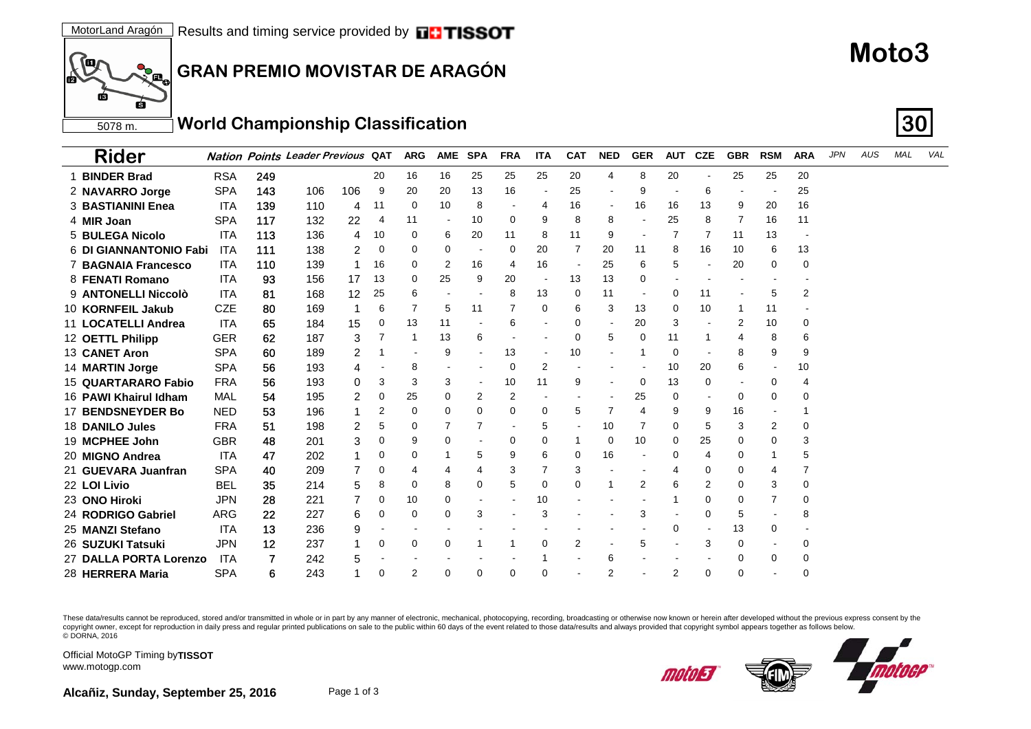

#### 5078 m. **World Championship Classification 30**

| Rider                      |            |     | <b>Nation Points Leader Previous QAT</b> |                 |          | <b>ARG</b> | <b>AME</b>     | <b>SPA</b> | <b>FRA</b> | <b>ITA</b> | <b>CAT</b> | <b>NED</b>               | <b>GER</b>     | <b>AUT</b> | <b>CZE</b> | <b>GBR</b> | <b>RSM</b> | <b>ARA</b> | <b>JPN</b> | AUS | MAL | VAL |
|----------------------------|------------|-----|------------------------------------------|-----------------|----------|------------|----------------|------------|------------|------------|------------|--------------------------|----------------|------------|------------|------------|------------|------------|------------|-----|-----|-----|
| 1 BINDER Brad              | <b>RSA</b> | 249 |                                          |                 | 20       | 16         | 16             | 25         | 25         | 25         | 20         | 4                        | 8              | 20         |            | 25         | 25         | 20         |            |     |     |     |
| 2 NAVARRO Jorge            | <b>SPA</b> | 143 | 106                                      | 106             | 9        | 20         | 20             | 13         | 16         |            | 25         |                          | 9              |            | 6          |            |            | 25         |            |     |     |     |
| 3 BASTIANINI Enea          | ITA        | 139 | 110                                      | 4               | 11       | 0          | 10             | 8          |            | 4          | 16         | $\overline{\phantom{a}}$ | 16             | 16         | 13         | 9          | 20         | 16         |            |     |     |     |
| 4 MIR Joan                 | <b>SPA</b> | 117 | 132                                      | 22              | 4        | 11         | $\blacksquare$ | 10         | 0          | 9          | 8          | 8                        |                | 25         | 8          | 7          | 16         | 11         |            |     |     |     |
| 5 BULEGA Nicolo            | <b>ITA</b> | 113 | 136                                      | 4               | 10       | 0          | 6              | 20         | 11         | 8          | 11         | 9                        |                |            | 7          | 11         | 13         |            |            |     |     |     |
| 6 DI GIANNANTONIO Fabi     | <b>ITA</b> | 111 | 138                                      | 2               | 0        | 0          | 0              |            | 0          | 20         | 7          | 20                       | 11             | 8          | 16         | 10         | 6          | 13         |            |     |     |     |
| <b>7 BAGNAIA Francesco</b> | <b>ITA</b> | 110 | 139                                      | 1               | 16       | 0          | 2              | 16         | 4          | 16         |            | 25                       | 6              | 5          |            | 20         | 0          | 0          |            |     |     |     |
| 8 FENATI Romano            | <b>ITA</b> | 93  | 156                                      | 17              | 13       | 0          | 25             | 9          | 20         |            | 13         | 13                       | $\Omega$       |            |            |            |            |            |            |     |     |     |
| 9 ANTONELLI Niccolò        | <b>ITA</b> | 81  | 168                                      | 12 <sup>2</sup> | 25       | 6          |                |            | 8          | 13         | 0          | 11                       |                | 0          | 11         |            | 5          | 2          |            |     |     |     |
| 10 KORNFEIL Jakub          | <b>CZE</b> | 80  | 169                                      | -1              | 6        | 7          | 5              | 11         | 7          | 0          | 6          | 3                        | 13             | 0          | 10         |            | 11         |            |            |     |     |     |
| 11 LOCATELLI Andrea        | ITA        | 65  | 184                                      | 15              | 0        | 13         | 11             |            | 6          |            | 0          | $\overline{\phantom{a}}$ | 20             | 3          |            | 2          | 10         | 0          |            |     |     |     |
| 12 OETTL Philipp           | <b>GER</b> | 62  | 187                                      | 3               |          |            | 13             | 6          |            |            | 0          | 5                        | 0              | 11         | -1         | 4          | 8          | 6          |            |     |     |     |
| 13 CANET Aron              | <b>SPA</b> | 60  | 189                                      | 2               |          |            | 9              |            | 13         |            | 10         |                          |                | 0          |            | 8          | 9          | 9          |            |     |     |     |
| 14 MARTIN Jorge            | <b>SPA</b> | 56  | 193                                      | 4               |          | 8          |                |            | 0          | 2          |            |                          |                | 10         | 20         | 6          |            | 10         |            |     |     |     |
| 15 QUARTARARO Fabio        | <b>FRA</b> | 56  | 193                                      | 0               | 3        | 3          | 3              |            | 10         | 11         | 9          |                          | 0              | 13         | 0          |            | 0          | 4          |            |     |     |     |
| 16 PAWI Khairul Idham      | MAL        | 54  | 195                                      | 2               | 0        | 25         | 0              | 2          | 2          |            |            |                          | 25             | 0          |            | 0          | 0          | O          |            |     |     |     |
| <b>17 BENDSNEYDER Bo</b>   | <b>NED</b> | 53  | 196                                      |                 | 2        | 0          | 0              | $\Omega$   | 0          | 0          | 5          | 7                        | $\overline{4}$ | 9          | 9          | 16         |            |            |            |     |     |     |
| 18 DANILO Jules            | <b>FRA</b> | 51  | 198                                      | 2               | 5        | 0          |                |            |            | 5          |            | 10                       |                | 0          | 5          | 3          | 2          | 0          |            |     |     |     |
| 19 MCPHEE John             | <b>GBR</b> | 48  | 201                                      | 3               | 0        | 9          | 0              |            | 0          | 0          |            | 0                        | 10             | 0          | 25         | 0          | 0          | 3          |            |     |     |     |
| 20 MIGNO Andrea            | <b>ITA</b> | 47  | 202                                      |                 |          | 0          |                | 5          | 9          | 6          | 0          | 16                       |                | 0          | 4          | 0          |            | 5          |            |     |     |     |
| 21 GUEVARA Juanfran        | <b>SPA</b> | 40  | 209                                      |                 | 0        | 4          | 4              | 4          | 3          |            | 3          |                          |                |            | 0          | 0          | 4          | 7          |            |     |     |     |
| 22 LOI Livio               | <b>BEL</b> | 35  | 214                                      | 5               | 8        | 0          | 8              | 0          | 5          | 0          | $\Omega$   |                          | 2              | 6          | 2          | 0          | 3          | 0          |            |     |     |     |
| 23 ONO Hiroki              | <b>JPN</b> | 28  | 221                                      |                 | 0        | 10         | 0              |            |            | 10         |            |                          |                |            | 0          | 0          | 7          | 0          |            |     |     |     |
| 24 RODRIGO Gabriel         | ARG        | 22  | 227                                      | 6               | 0        | 0          | 0              | 3          |            | 3          |            |                          | 3              |            | $\Omega$   | 5          |            | 8          |            |     |     |     |
| 25 MANZI Stefano           | <b>ITA</b> | 13  | 236                                      | 9               |          |            |                |            |            |            |            |                          |                | 0          |            | 13         | 0          |            |            |     |     |     |
| 26  SUZUKI Tatsuki         | <b>JPN</b> | 12  | 237                                      |                 | 0        | 0          | 0              |            |            | 0          | 2          |                          | 5              |            | 3          | 0          |            | 0          |            |     |     |     |
| 27 DALLA PORTA Lorenzo     | ITA        | 7   | 242                                      | 5               |          |            |                |            |            |            |            | 6                        |                |            |            | 0          | 0          | 0          |            |     |     |     |
| 28 HERRERA Maria           | <b>SPA</b> | 6   | 243                                      |                 | $\Omega$ | 2          | 0              | 0          | 0          | 0          |            | 2                        |                | 2          | 0          | 0          |            | 0          |            |     |     |     |

These data/results cannot be reproduced, stored and/or transmitted in whole or in part by any manner of electronic, mechanical, photocopying, recording, broadcasting or otherwise now known or herein after developed without copyright owner, except for reproduction in daily press and regular printed publications on sale to the public within 60 days of the event related to those data/results and always provided that copyright symbol appears tog © DORNA, 2016



Official MotoGP Timing by **TISSOT**www.motogp.com

**SO** 

ГŔ

6

гb

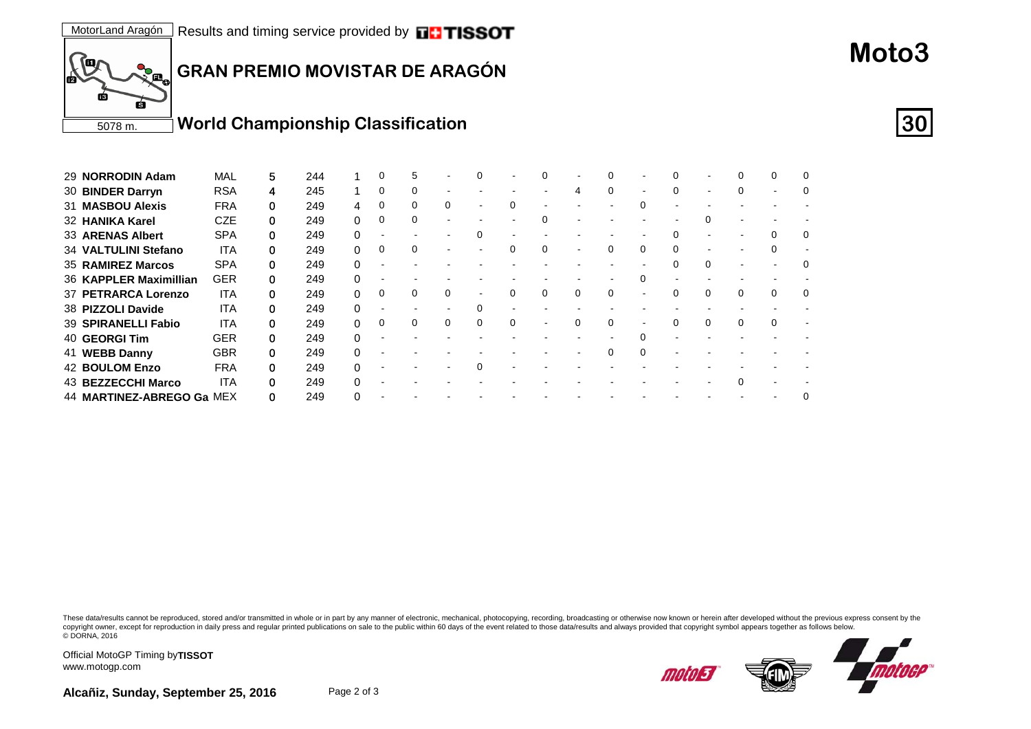

| 29 NORRODIN Adam          | <b>MAL</b> | 5 | 244 |              | 0 | 5 |   |  |   |   |          |   |   |  |
|---------------------------|------------|---|-----|--------------|---|---|---|--|---|---|----------|---|---|--|
| 30 BINDER Darryn          | <b>RSA</b> | 4 | 245 |              | 0 |   |   |  |   | 4 |          | 0 |   |  |
| 31 MASBOU Alexis          | <b>FRA</b> | 0 | 249 |              | 0 |   |   |  |   |   |          |   |   |  |
| 32 HANIKA Karel           | <b>CZE</b> | 0 | 249 | 0            | 0 | 0 |   |  | ∩ |   |          |   |   |  |
| 33 ARENAS Albert          | <b>SPA</b> |   | 249 |              |   |   |   |  |   |   |          |   |   |  |
| 34 VALTULINI Stefano      | <b>ITA</b> | 0 | 249 |              | 0 |   |   |  |   |   | 0        |   |   |  |
| 35 RAMIREZ Marcos         | <b>SPA</b> | 0 | 249 | U            |   |   |   |  |   |   |          |   |   |  |
| 36 KAPPLER Maximillian    | <b>GER</b> |   | 249 |              |   |   |   |  |   |   |          |   |   |  |
| 37 PETRARCA Lorenzo       | <b>ITA</b> | 0 | 249 | 0            | 0 |   |   |  | 0 | 0 |          |   | 0 |  |
| 38 PIZZOLI Davide         | <b>ITA</b> | 0 | 249 | $\Omega$     |   |   |   |  |   |   |          |   |   |  |
| 39 SPIRANELLI Fabio       | ITA        |   | 249 |              | 0 | 0 | 0 |  |   |   |          |   |   |  |
| 40 GEORGI Tim             | <b>GER</b> | 0 | 249 |              |   |   |   |  |   |   |          |   |   |  |
| 41 WEBB Danny             | <b>GBR</b> | 0 | 249 | <sup>0</sup> |   |   |   |  |   |   | $\Omega$ |   |   |  |
| <b>42 BOULOM Enzo</b>     | <b>FRA</b> |   | 249 |              |   |   |   |  |   |   |          |   |   |  |
| 43 BEZZECCHI Marco        | ITA        | 0 | 249 |              |   |   |   |  |   |   |          |   |   |  |
| 44 MARTINEZ-ABREGO Ga MEX |            |   | 249 |              |   |   |   |  |   |   |          |   |   |  |

These data/results cannot be reproduced, stored and/or transmitted in whole or in part by any manner of electronic, mechanical, photocopying, recording, broadcasting or otherwise now known or herein after developed without copyright owner, except for reproduction in daily press and regular printed publications on sale to the public within 60 days of the event related to those data/results and always provided that copyright symbol appears tog © DORNA, 2016



Official MotoGP Timing by **TISSOT**www.motogp.com

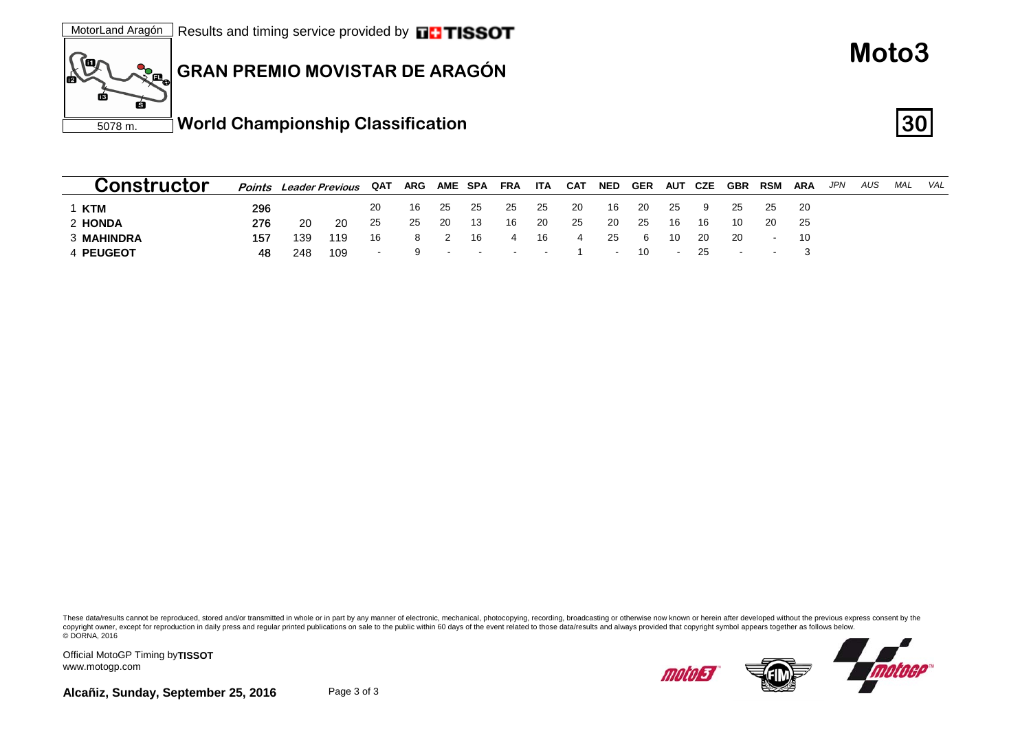

| Constructor       | Points | Leader Previous |     | QAT    | ARG | <b>AME SPA</b>                      |      | FRA                             | ITA | CAT | <b>NED</b> | GER | <b>AUT CZE</b> |     | <b>GBR</b> | <b>RSM</b> | <b>ARA</b> | JPN | AUS | MAL | VAL |
|-------------------|--------|-----------------|-----|--------|-----|-------------------------------------|------|---------------------------------|-----|-----|------------|-----|----------------|-----|------------|------------|------------|-----|-----|-----|-----|
| 1 KTM             | 296    |                 |     | 20     | 16  | - 25                                | - 25 | -25                             | -25 | -20 | 16         | -20 | 25             | 9   | 25         | 25         | - 20       |     |     |     |     |
| 2 HONDA           | 276    | 20              | 20  | 25     | 25  | -20                                 | -13  | 16                              | -20 | -25 | 20         | 25  | 16             | 16  | 10         | 20         | - 25       |     |     |     |     |
| <b>3 MAHINDRA</b> | 157    | 139             | 119 | 16     | 8   |                                     | 16   | 4                               | 16  |     | -25        | -6  | -10            | -20 | -20        | $\sim$     | -10        |     |     |     |     |
| 4 PEUGEOT         | 48     | 248             | 109 | $\sim$ |     | the contract of the contract of the |      | the company's company's program |     |     | $\sim$     | 10  |                | -25 |            |            |            |     |     |     |     |

These data/results cannot be reproduced, stored and/or transmitted in whole or in part by any manner of electronic, mechanical, photocopying, recording, broadcasting or otherwise now known or herein after developed without copyright owner, except for reproduction in daily press and regular printed publications on sale to the public within 60 days of the event related to those data/results and always provided that copyright symbol appears tog © DORNA, 2016

Official MotoGP Timing by **TISSOT**www.motogp.com



**Moto3**